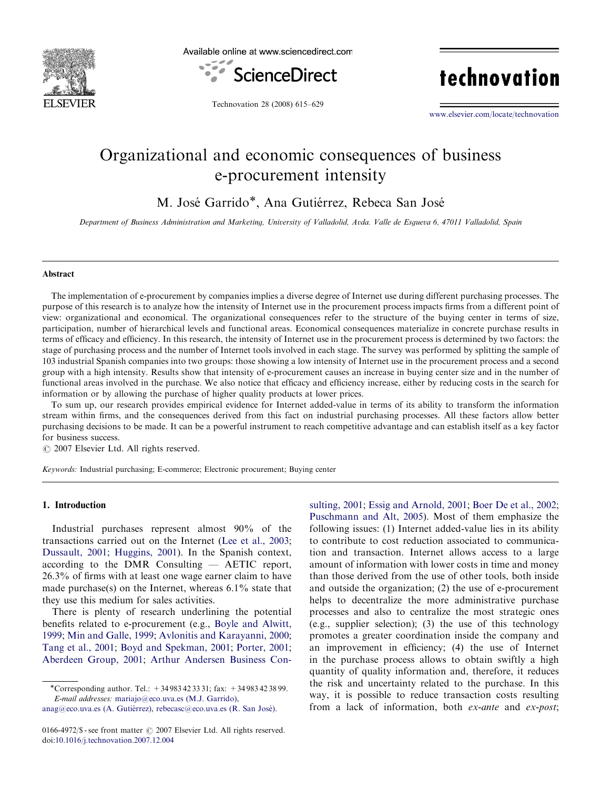

Available online at www.sciencedirect.com



technovation

Technovation 28 (2008) 615–629

<www.elsevier.com/locate/technovation>

## Organizational and economic consequences of business e-procurement intensity

M. José Garrido\*, Ana Gutiérrez, Rebeca San José

Department of Business Administration and Marketing, University of Valladolid, Avda. Valle de Esgueva 6, 47011 Valladolid, Spain

### Abstract

The implementation of e-procurement by companies implies a diverse degree of Internet use during different purchasing processes. The purpose of this research is to analyze how the intensity of Internet use in the procurement process impacts firms from a different point of view: organizational and economical. The organizational consequences refer to the structure of the buying center in terms of size, participation, number of hierarchical levels and functional areas. Economical consequences materialize in concrete purchase results in terms of efficacy and efficiency. In this research, the intensity of Internet use in the procurement process is determined by two factors: the stage of purchasing process and the number of Internet tools involved in each stage. The survey was performed by splitting the sample of 103 industrial Spanish companies into two groups: those showing a low intensity of Internet use in the procurement process and a second group with a high intensity. Results show that intensity of e-procurement causes an increase in buying center size and in the number of functional areas involved in the purchase. We also notice that efficacy and efficiency increase, either by reducing costs in the search for information or by allowing the purchase of higher quality products at lower prices.

To sum up, our research provides empirical evidence for Internet added-value in terms of its ability to transform the information stream within firms, and the consequences derived from this fact on industrial purchasing processes. All these factors allow better purchasing decisions to be made. It can be a powerful instrument to reach competitive advantage and can establish itself as a key factor for business success.

 $C$  2007 Elsevier Ltd. All rights reserved.

Keywords: Industrial purchasing; E-commerce; Electronic procurement; Buying center

## 1. Introduction

Industrial purchases represent almost 90% of the transactions carried out on the Internet [\(Lee et al., 2003;](#page--1-0) [Dussault, 2001;](#page--1-0) [Huggins, 2001](#page--1-0)). In the Spanish context, according to the DMR Consulting — AETIC report, 26.3% of firms with at least one wage earner claim to have made purchase(s) on the Internet, whereas  $6.1\%$  state that they use this medium for sales activities.

There is plenty of research underlining the potential benefits related to e-procurement (e.g., [Boyle and Alwitt,](#page--1-0) [1999](#page--1-0); [Min and Galle, 1999;](#page--1-0) [Avlonitis and Karayanni, 2000;](#page--1-0) [Tang et al., 2001](#page--1-0); [Boyd and Spekman, 2001](#page--1-0); [Porter, 2001;](#page--1-0) [Aberdeen Group, 2001](#page--1-0); [Arthur Andersen Business Con-](#page--1-0) [sulting, 2001](#page--1-0); [Essig and Arnold, 2001](#page--1-0); [Boer De et al., 2002;](#page--1-0) [Puschmann and Alt, 2005\)](#page--1-0). Most of them emphasize the following issues: (1) Internet added-value lies in its ability to contribute to cost reduction associated to communication and transaction. Internet allows access to a large amount of information with lower costs in time and money than those derived from the use of other tools, both inside and outside the organization; (2) the use of e-procurement helps to decentralize the more administrative purchase processes and also to centralize the most strategic ones (e.g., supplier selection); (3) the use of this technology promotes a greater coordination inside the company and an improvement in efficiency; (4) the use of Internet in the purchase process allows to obtain swiftly a high quantity of quality information and, therefore, it reduces the risk and uncertainty related to the purchase. In this way, it is possible to reduce transaction costs resulting from a lack of information, both *ex-ante* and *ex-post*;

<sup>-</sup>Corresponding author. Tel.: +34 983 42 33 31; fax: +34 983 42 38 99. E-mail addresses: [mariajo@eco.uva.es \(M.J. Garrido\)](mailto:mariajo@eco.uva.es),

anag@eco.uva.es (A. Gutiérrez), rebecasc@eco.uva.es (R. San José).

<sup>0166-4972/\$ -</sup> see front matter  $\odot$  2007 Elsevier Ltd. All rights reserved. doi:[10.1016/j.technovation.2007.12.004](dx.doi.org/10.1016/j.technovation.2007.12.004)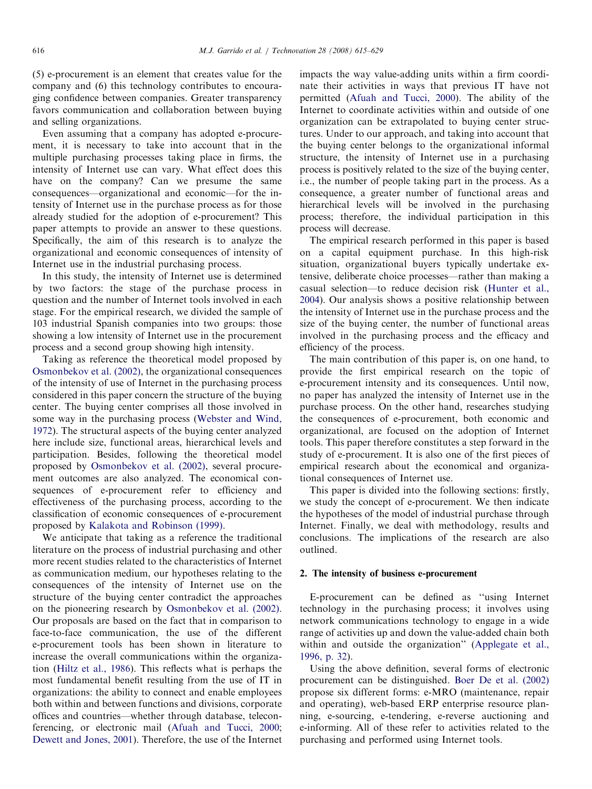(5) e-procurement is an element that creates value for the company and (6) this technology contributes to encouraging confidence between companies. Greater transparency favors communication and collaboration between buying and selling organizations.

Even assuming that a company has adopted e-procurement, it is necessary to take into account that in the multiple purchasing processes taking place in firms, the intensity of Internet use can vary. What effect does this have on the company? Can we presume the same consequences—organizational and economic—for the intensity of Internet use in the purchase process as for those already studied for the adoption of e-procurement? This paper attempts to provide an answer to these questions. Specifically, the aim of this research is to analyze the organizational and economic consequences of intensity of Internet use in the industrial purchasing process.

In this study, the intensity of Internet use is determined by two factors: the stage of the purchase process in question and the number of Internet tools involved in each stage. For the empirical research, we divided the sample of 103 industrial Spanish companies into two groups: those showing a low intensity of Internet use in the procurement process and a second group showing high intensity.

Taking as reference the theoretical model proposed by [Osmonbekov et al. \(2002\),](#page--1-0) the organizational consequences of the intensity of use of Internet in the purchasing process considered in this paper concern the structure of the buying center. The buying center comprises all those involved in some way in the purchasing process [\(Webster and Wind,](#page--1-0) [1972\)](#page--1-0). The structural aspects of the buying center analyzed here include size, functional areas, hierarchical levels and participation. Besides, following the theoretical model proposed by [Osmonbekov et al. \(2002\),](#page--1-0) several procurement outcomes are also analyzed. The economical consequences of e-procurement refer to efficiency and effectiveness of the purchasing process, according to the classification of economic consequences of e-procurement proposed by [Kalakota and Robinson \(1999\)](#page--1-0).

We anticipate that taking as a reference the traditional literature on the process of industrial purchasing and other more recent studies related to the characteristics of Internet as communication medium, our hypotheses relating to the consequences of the intensity of Internet use on the structure of the buying center contradict the approaches on the pioneering research by [Osmonbekov et al. \(2002\)](#page--1-0). Our proposals are based on the fact that in comparison to face-to-face communication, the use of the different e-procurement tools has been shown in literature to increase the overall communications within the organization [\(Hiltz et al., 1986](#page--1-0)). This reflects what is perhaps the most fundamental benefit resulting from the use of IT in organizations: the ability to connect and enable employees both within and between functions and divisions, corporate offices and countries—whether through database, teleconferencing, or electronic mail [\(Afuah and Tucci, 2000](#page--1-0); [Dewett and Jones, 2001\)](#page--1-0). Therefore, the use of the Internet impacts the way value-adding units within a firm coordinate their activities in ways that previous IT have not permitted ([Afuah and Tucci, 2000](#page--1-0)). The ability of the Internet to coordinate activities within and outside of one organization can be extrapolated to buying center structures. Under to our approach, and taking into account that the buying center belongs to the organizational informal structure, the intensity of Internet use in a purchasing process is positively related to the size of the buying center, i.e., the number of people taking part in the process. As a consequence, a greater number of functional areas and hierarchical levels will be involved in the purchasing process; therefore, the individual participation in this process will decrease.

The empirical research performed in this paper is based on a capital equipment purchase. In this high-risk situation, organizational buyers typically undertake extensive, deliberate choice processes—rather than making a casual selection—to reduce decision risk ([Hunter et al.,](#page--1-0) [2004\)](#page--1-0). Our analysis shows a positive relationship between the intensity of Internet use in the purchase process and the size of the buying center, the number of functional areas involved in the purchasing process and the efficacy and efficiency of the process.

The main contribution of this paper is, on one hand, to provide the first empirical research on the topic of e-procurement intensity and its consequences. Until now, no paper has analyzed the intensity of Internet use in the purchase process. On the other hand, researches studying the consequences of e-procurement, both economic and organizational, are focused on the adoption of Internet tools. This paper therefore constitutes a step forward in the study of e-procurement. It is also one of the first pieces of empirical research about the economical and organizational consequences of Internet use.

This paper is divided into the following sections: firstly, we study the concept of e-procurement. We then indicate the hypotheses of the model of industrial purchase through Internet. Finally, we deal with methodology, results and conclusions. The implications of the research are also outlined.

### 2. The intensity of business e-procurement

E-procurement can be defined as ''using Internet technology in the purchasing process; it involves using network communications technology to engage in a wide range of activities up and down the value-added chain both within and outside the organization'' ([Applegate et al.,](#page--1-0) [1996, p. 32](#page--1-0)).

Using the above definition, several forms of electronic procurement can be distinguished. [Boer De et al. \(2002\)](#page--1-0) propose six different forms: e-MRO (maintenance, repair and operating), web-based ERP enterprise resource planning, e-sourcing, e-tendering, e-reverse auctioning and e-informing. All of these refer to activities related to the purchasing and performed using Internet tools.